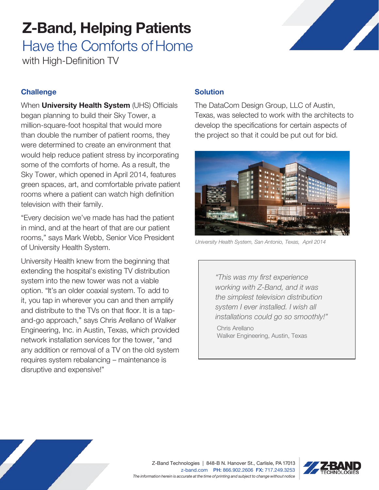## Z-Band, Helping Patients

Have the Comforts of Home with High-Definition TV

### **Challenge**

When **University Health System** (UHS) Officials began planning to build their Sky Tower, a million-square-foot hospital that would more than double the number of patient rooms, they were determined to create an environment that would help reduce patient stress by incorporating some of the comforts of home. As a result, the Sky Tower, which opened in April 2014, features green spaces, art, and comfortable private patient rooms where a patient can watch high definition television with their family.

"Every decision we've made has had the patient in mind, and at the heart of that are our patient rooms," says Mark Webb, Senior Vice President of University Health System.

University Health knew from the beginning that extending the hospital's existing TV distribution system into the new tower was not a viable option. "It's an older coaxial system. To add to it, you tap in wherever you can and then amplify and distribute to the TVs on that floor. It is a tapand-go approach," says Chris Arellano of Walker Engineering, Inc. in Austin, Texas, which provided network installation services for the tower, "and any addition or removal of a TV on the old system requires system rebalancing – maintenance is disruptive and expensive!"

### **Solution**

The DataCom Design Group, LLC of Austin, Texas, was selected to work with the architects to develop the specifications for certain aspects of the project so that it could be put out for bid.



University Health System, San Antonio, Texas, April 2014

"This was my first experience working with Z-Band, and it was the simplest television distribution system I ever installed. I wish all installations could go so smoothly!"

Chris Arellano Walker Engineering, Austin, Texas

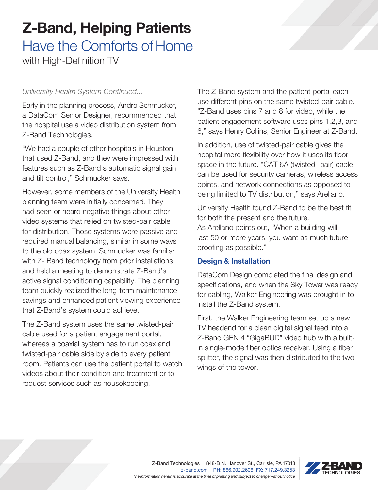## Z-Band, Helping Patients

# Have the Comforts of Home

with High-Definition TV

Early in the planning process, Andre Schmucker, a DataCom Senior Designer, recommended that the hospital use a video distribution system from Z-Band Technologies.

"We had a couple of other hospitals in Houston that used Z-Band, and they were impressed with features such as Z-Band's automatic signal gain and tilt control," Schmucker says.

However, some members of the University Health planning team were initially concerned. They had seen or heard negative things about other video systems that relied on twisted-pair cable for distribution. Those systems were passive and required manual balancing, similar in some ways to the old coax system. Schmucker was familiar with Z- Band technology from prior installations and held a meeting to demonstrate Z-Band's active signal conditioning capability. The planning team quickly realized the long-term maintenance savings and enhanced patient viewing experience that Z-Band's system could achieve.

The Z-Band system uses the same twisted-pair cable used for a patient engagement portal, whereas a coaxial system has to run coax and twisted-pair cable side by side to every patient room. Patients can use the patient portal to watch videos about their condition and treatment or to request services such as housekeeping.

University Health System Continued... The Z-Band system and the patient portal each use different pins on the same twisted-pair cable. "Z-Band uses pins 7 and 8 for video, while the patient engagement software uses pins 1,2,3, and 6," says Henry Collins, Senior Engineer at Z-Band.

> In addition, use of twisted-pair cable gives the hospital more flexibility over how it uses its floor space in the future. "CAT 6A (twisted- pair) cable can be used for security cameras, wireless access points, and network connections as opposed to being limited to TV distribution," says Arellano.

University Health found Z-Band to be the best fit for both the present and the future. As Arellano points out, "When a building will last 50 or more years, you want as much future proofing as possible."

### Design & Installation

DataCom Design completed the final design and specifications, and when the Sky Tower was ready for cabling, Walker Engineering was brought in to install the Z-Band system.

First, the Walker Engineering team set up a new TV headend for a clean digital signal feed into a Z-Band GEN 4 "GigaBUD" video hub with a builtin single-mode fiber optics receiver. Using a fiber splitter, the signal was then distributed to the two wings of the tower.